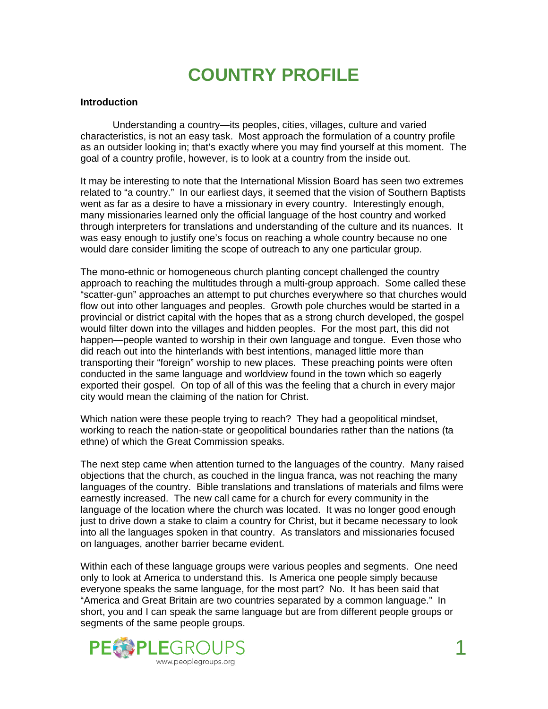# **COUNTRY PROFILE**

#### **Introduction**

 Understanding a country—its peoples, cities, villages, culture and varied characteristics, is not an easy task. Most approach the formulation of a country profile as an outsider looking in; that's exactly where you may find yourself at this moment. The goal of a country profile, however, is to look at a country from the inside out.

It may be interesting to note that the International Mission Board has seen two extremes related to "a country." In our earliest days, it seemed that the vision of Southern Baptists went as far as a desire to have a missionary in every country. Interestingly enough, many missionaries learned only the official language of the host country and worked through interpreters for translations and understanding of the culture and its nuances. It was easy enough to justify one's focus on reaching a whole country because no one would dare consider limiting the scope of outreach to any one particular group.

The mono-ethnic or homogeneous church planting concept challenged the country approach to reaching the multitudes through a multi-group approach. Some called these "scatter-gun" approaches an attempt to put churches everywhere so that churches would flow out into other languages and peoples. Growth pole churches would be started in a provincial or district capital with the hopes that as a strong church developed, the gospel would filter down into the villages and hidden peoples. For the most part, this did not happen—people wanted to worship in their own language and tongue. Even those who did reach out into the hinterlands with best intentions, managed little more than transporting their "foreign" worship to new places. These preaching points were often conducted in the same language and worldview found in the town which so eagerly exported their gospel. On top of all of this was the feeling that a church in every major city would mean the claiming of the nation for Christ.

Which nation were these people trying to reach? They had a geopolitical mindset, working to reach the nation-state or geopolitical boundaries rather than the nations (ta ethne) of which the Great Commission speaks.

The next step came when attention turned to the languages of the country. Many raised objections that the church, as couched in the lingua franca, was not reaching the many languages of the country. Bible translations and translations of materials and films were earnestly increased. The new call came for a church for every community in the language of the location where the church was located. It was no longer good enough just to drive down a stake to claim a country for Christ, but it became necessary to look into all the languages spoken in that country. As translators and missionaries focused on languages, another barrier became evident.

Within each of these language groups were various peoples and segments. One need only to look at America to understand this. Is America one people simply because everyone speaks the same language, for the most part? No. It has been said that "America and Great Britain are two countries separated by a common language." In short, you and I can speak the same language but are from different people groups or segments of the same people groups.

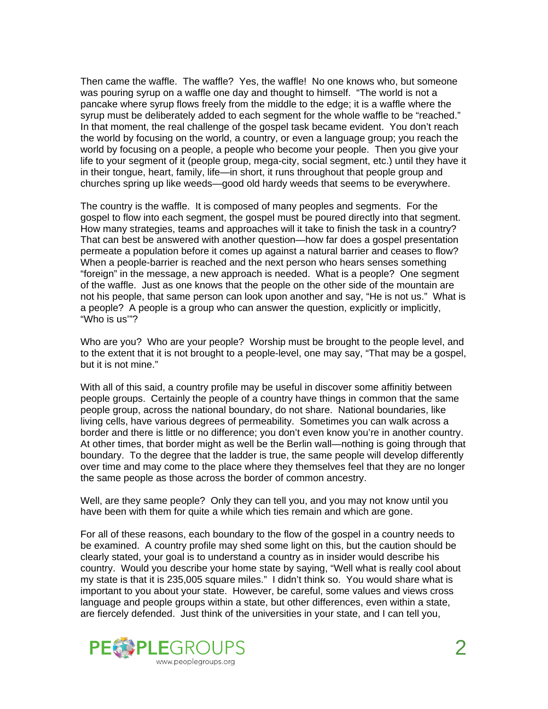Then came the waffle. The waffle? Yes, the waffle! No one knows who, but someone was pouring syrup on a waffle one day and thought to himself. "The world is not a pancake where syrup flows freely from the middle to the edge; it is a waffle where the syrup must be deliberately added to each segment for the whole waffle to be "reached." In that moment, the real challenge of the gospel task became evident. You don't reach the world by focusing on the world, a country, or even a language group; you reach the world by focusing on a people, a people who become your people. Then you give your life to your segment of it (people group, mega-city, social segment, etc.) until they have it in their tongue, heart, family, life—in short, it runs throughout that people group and churches spring up like weeds—good old hardy weeds that seems to be everywhere.

The country is the waffle. It is composed of many peoples and segments. For the gospel to flow into each segment, the gospel must be poured directly into that segment. How many strategies, teams and approaches will it take to finish the task in a country? That can best be answered with another question—how far does a gospel presentation permeate a population before it comes up against a natural barrier and ceases to flow? When a people-barrier is reached and the next person who hears senses something "foreign" in the message, a new approach is needed. What is a people? One segment of the waffle. Just as one knows that the people on the other side of the mountain are not his people, that same person can look upon another and say, "He is not us." What is a people? A people is a group who can answer the question, explicitly or implicitly, "Who is us'"?

Who are you? Who are your people? Worship must be brought to the people level, and to the extent that it is not brought to a people-level, one may say, "That may be a gospel, but it is not mine."

With all of this said, a country profile may be useful in discover some affinitiy between people groups. Certainly the people of a country have things in common that the same people group, across the national boundary, do not share. National boundaries, like living cells, have various degrees of permeability. Sometimes you can walk across a border and there is little or no difference; you don't even know you're in another country. At other times, that border might as well be the Berlin wall—nothing is going through that boundary. To the degree that the ladder is true, the same people will develop differently over time and may come to the place where they themselves feel that they are no longer the same people as those across the border of common ancestry.

Well, are they same people? Only they can tell you, and you may not know until you have been with them for quite a while which ties remain and which are gone.

For all of these reasons, each boundary to the flow of the gospel in a country needs to be examined. A country profile may shed some light on this, but the caution should be clearly stated, your goal is to understand a country as in insider would describe his country. Would you describe your home state by saying, "Well what is really cool about my state is that it is 235,005 square miles." I didn't think so. You would share what is important to you about your state. However, be careful, some values and views cross language and people groups within a state, but other differences, even within a state, are fiercely defended. Just think of the universities in your state, and I can tell you,

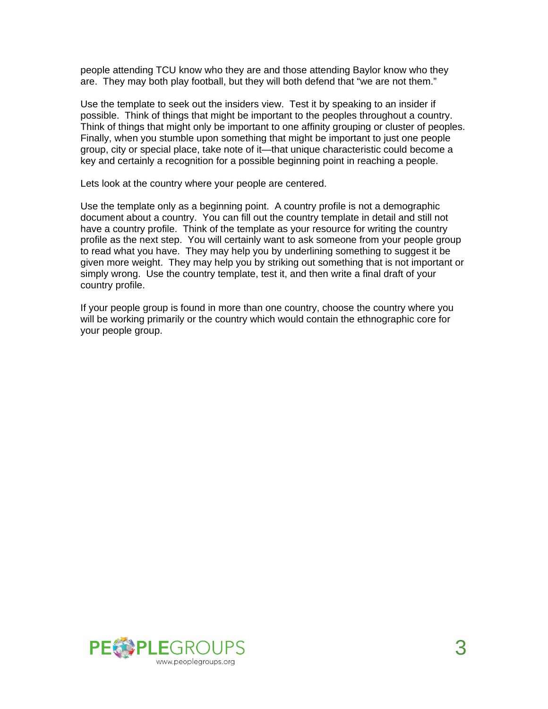people attending TCU know who they are and those attending Baylor know who they are. They may both play football, but they will both defend that "we are not them."

Use the template to seek out the insiders view. Test it by speaking to an insider if possible. Think of things that might be important to the peoples throughout a country. Think of things that might only be important to one affinity grouping or cluster of peoples. Finally, when you stumble upon something that might be important to just one people group, city or special place, take note of it—that unique characteristic could become a key and certainly a recognition for a possible beginning point in reaching a people.

Lets look at the country where your people are centered.

Use the template only as a beginning point. A country profile is not a demographic document about a country. You can fill out the country template in detail and still not have a country profile. Think of the template as your resource for writing the country profile as the next step. You will certainly want to ask someone from your people group to read what you have. They may help you by underlining something to suggest it be given more weight. They may help you by striking out something that is not important or simply wrong. Use the country template, test it, and then write a final draft of your country profile.

If your people group is found in more than one country, choose the country where you will be working primarily or the country which would contain the ethnographic core for your people group.

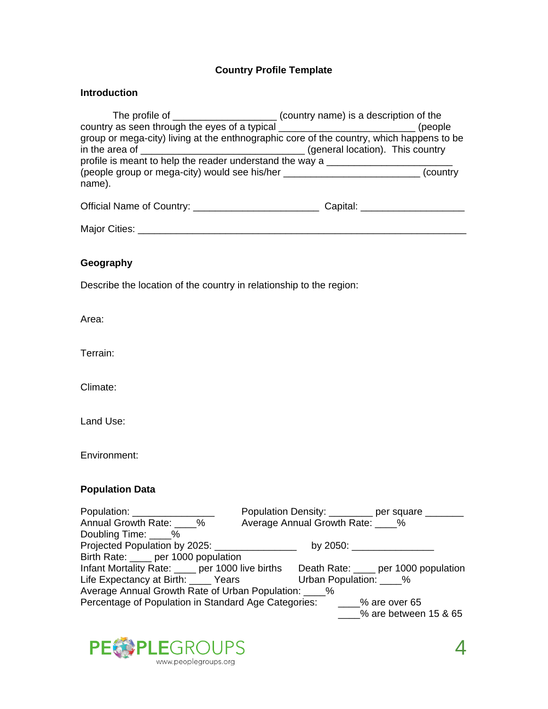# **Country Profile Template**

### **Introduction**

|                                                                                          | (country name) is a description of the |
|------------------------------------------------------------------------------------------|----------------------------------------|
| country as seen through the eyes of a typical __________________________________         | (people)                               |
| group or mega-city) living at the enthnographic core of the country, which happens to be |                                        |
| in the area of $\_$                                                                      | (general location). This country (300) |
| profile is meant to help the reader understand the way a $\_$                            |                                        |
| (people group or mega-city) would see his/her                                            | (country                               |
| name).                                                                                   |                                        |
| Official Name of Country:                                                                | Capital:                               |

| <b>Major Citio</b><br>ùties: |  |
|------------------------------|--|
|                              |  |

# **Geography**

Describe the location of the country in relationship to the region:

Area:

Terrain:

Climate:

Land Use:

Environment:

# **Population Data**

| Population: _________________                          | Population Density: ________ per square _______                                        |
|--------------------------------------------------------|----------------------------------------------------------------------------------------|
| Annual Growth Rate: %                                  | Average Annual Growth Rate: 2008                                                       |
| Doubling Time: ____%                                   |                                                                                        |
|                                                        |                                                                                        |
| Birth Rate: ____ per 1000 population                   |                                                                                        |
|                                                        | Infant Mortality Rate: _____ per 1000 live births Death Rate: ____ per 1000 population |
|                                                        | Life Expectancy at Birth: _____ Years Urban Population: ____ %                         |
| Average Annual Growth Rate of Urban Population: _____% |                                                                                        |
|                                                        | Percentage of Population in Standard Age Categories: _____% are over 65                |
|                                                        | $\frac{1}{2}$ % are between 15 & 65                                                    |

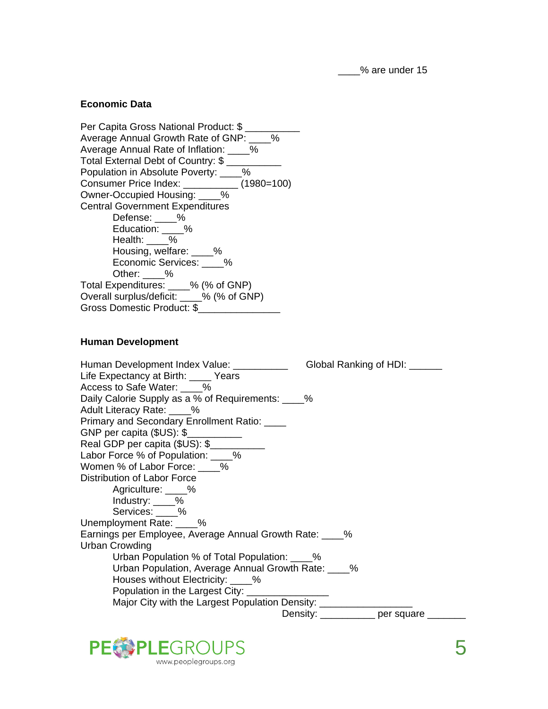\_\_\_\_% are under 15

#### **Economic Data**

Per Capita Gross National Product: \$ Average Annual Growth Rate of GNP: % Average Annual Rate of Inflation: \_\_\_\_% Total External Debt of Country: \$ \_\_\_\_\_\_\_\_\_\_ Population in Absolute Poverty: \_\_\_\_% Consumer Price Index: \_\_\_\_\_\_\_\_\_\_ (1980=100) Owner-Occupied Housing: \_\_\_\_% Central Government Expenditures Defense: \_\_\_\_% Education: \_\_\_\_% Health: \_\_\_\_% Housing, welfare: \_\_\_\_% Economic Services: \_\_\_\_<sup>1</sup>% Other: \_\_\_\_% Total Expenditures: \_\_\_\_% (% of GNP) Overall surplus/deficit: \_\_\_\_% (% of GNP) Gross Domestic Product: \$\_\_\_\_\_\_\_\_\_\_\_\_\_\_\_

#### **Human Development**

| Human Development Index Value: __________<br>Global Ranking of HDI: _____ |
|---------------------------------------------------------------------------|
| Life Expectancy at Birth: Vears                                           |
| Access to Safe Water: %                                                   |
| Daily Calorie Supply as a % of Requirements: ____%                        |
| Adult Literacy Rate: 6                                                    |
| Primary and Secondary Enrollment Ratio: ____                              |
| GNP per capita (\$US): \$                                                 |
| Real GDP per capita (\$US): \$                                            |
| Labor Force % of Population: ____%                                        |
| Women % of Labor Force: %                                                 |
| Distribution of Labor Force                                               |
| Agriculture: ____%                                                        |
| Industry: 6                                                               |
| Services: 6                                                               |
| Unemployment Rate: 6                                                      |
| Earnings per Employee, Average Annual Growth Rate: ____%                  |
| Urban Crowding                                                            |
| Urban Population % of Total Population: ____%                             |
| Urban Population, Average Annual Growth Rate: ____%                       |
| Houses without Electricity: ____%                                         |
| Population in the Largest City: _______________                           |
| Major City with the Largest Population Density: _____________             |
| Density: ___________ per square _______                                   |

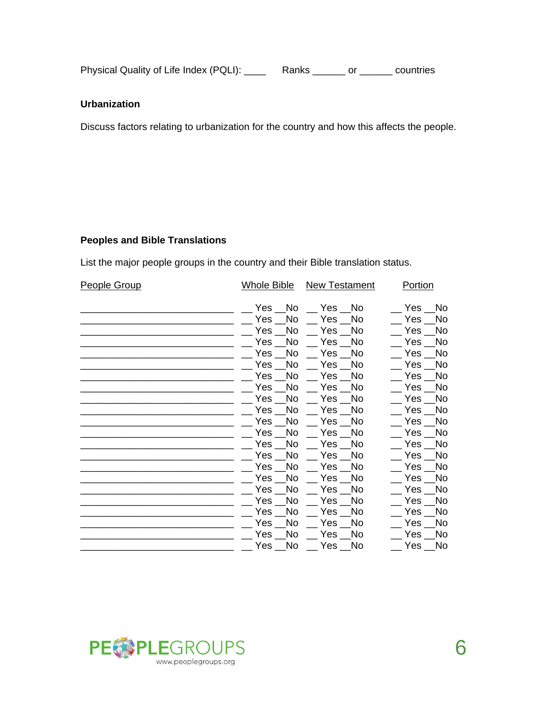Physical Quality of Life Index (PQLI): \_\_\_\_\_ Ranks \_\_\_\_\_\_ or \_\_\_\_\_\_ countries

## **Urbanization**

Discuss factors relating to urbanization for the country and how this affects the people.

## **Peoples and Bible Translations**

List the major people groups in the country and their Bible translation status.

| <b>People Group</b> | Whole Bible    | New Testament                | <b>Portion</b>        |
|---------------------|----------------|------------------------------|-----------------------|
|                     |                | Yes No Yes No                | <b>No</b><br>Yes      |
|                     | Yes No         | Yes No                       | No<br>$Yes$ $\_$      |
|                     | Yes No         | Yes No                       | No.<br>Yes            |
|                     | Yes No         | Yes No                       | Yes<br>No.            |
|                     | No.<br>Yes     | $Yes$ $\_\_$<br>No.          | No.<br>Yes            |
|                     | Yes No         | Yes No                       | Yes<br>No             |
|                     | Yes<br>No.     | $Yes$ $\_\$<br>No.           | N <sub>o</sub><br>Yes |
|                     | Yes No         | Yes No                       | No<br>Yes             |
|                     | No<br>Yes      | No.<br>$Yes$ $\_\_$          | No<br>Yes             |
|                     | Yes No         | Yes No                       | No.<br>Yes            |
|                     | Yes No         | Yes No                       | No<br>Yes             |
|                     | Yes No         | Yes No                       | No.<br>Yes            |
|                     | Yes No         | Yes __No                     | No.<br>Yes            |
|                     | Yes No         | Yes No                       | No<br>Yes             |
|                     | Yes No         | Yes No                       | No<br>Yes             |
|                     | No<br>Yes      | No.<br>$Yes$ $\_\_$          | No.<br>Yes            |
|                     | Yes No         | $Yes$ $\_\_$<br>No           | Yes _<br>No           |
|                     | No<br>Yes $\_$ | Yes $\_$<br>No.              | Yes<br>No             |
|                     | Yes<br>No.     | $Yes$ $\_\_$<br>No.          | No.<br>Yes            |
|                     | Yes<br>No      | No<br>Yes                    | No<br>Yes             |
|                     | No<br>Yes      | No.<br>Yes $\_$              | No<br>Yes             |
|                     | Yes __No       | $\sqrt{2}$ Yes $\sqrt{2}$ No | No<br>Yes             |

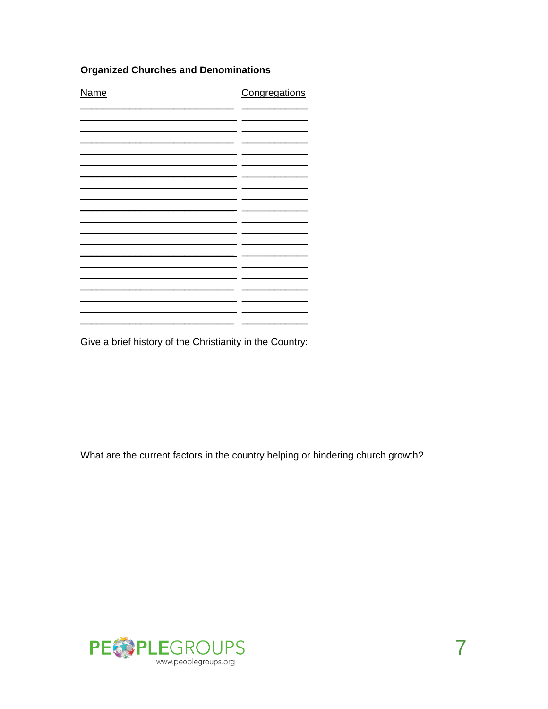# **Organized Churches and Denominations**

| <b>Name</b> | Congregations |  |
|-------------|---------------|--|
|             |               |  |
|             |               |  |
|             |               |  |
|             |               |  |
|             |               |  |
|             |               |  |
|             |               |  |
|             |               |  |
|             |               |  |
|             |               |  |
|             |               |  |
|             |               |  |

Give a brief history of the Christianity in the Country:

What are the current factors in the country helping or hindering church growth?

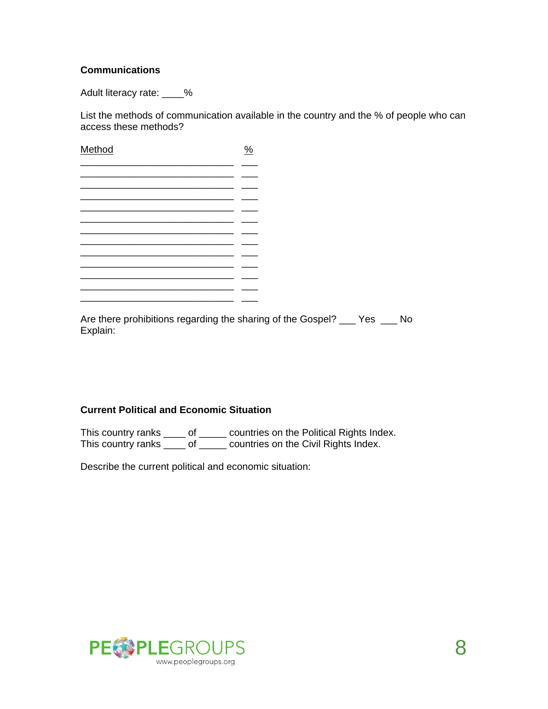## **Communications**

Adult literacy rate: \_\_\_\_%

List the methods of communication available in the country and the % of people who can access these methods?

| Method | $\%$ |
|--------|------|
|        |      |
|        |      |
|        |      |
|        |      |
|        |      |
|        |      |
|        |      |
|        |      |

Are there prohibitions regarding the sharing of the Gospel? \_\_\_ Yes \_\_\_ No Explain:

## **Current Political and Economic Situation**

This country ranks \_\_\_\_ of \_\_\_\_\_ countries on the Political Rights Index. This country ranks \_\_\_\_ of \_\_\_\_\_ countries on the Civil Rights Index.

Describe the current political and economic situation:

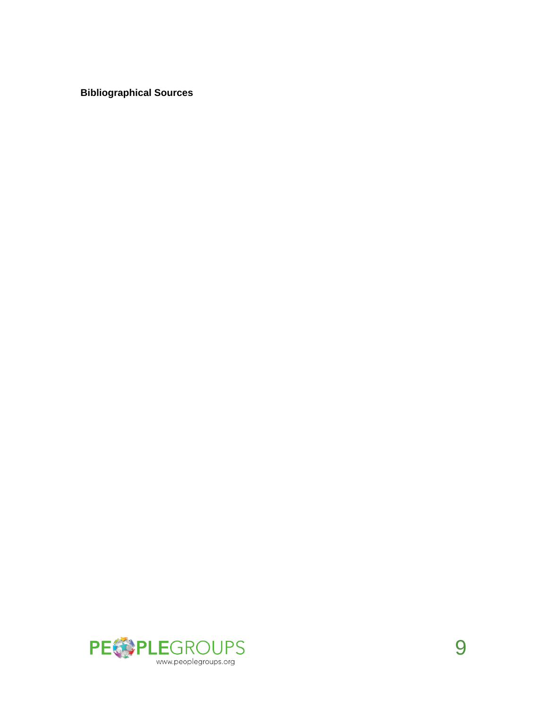**Bibliographical Sources**